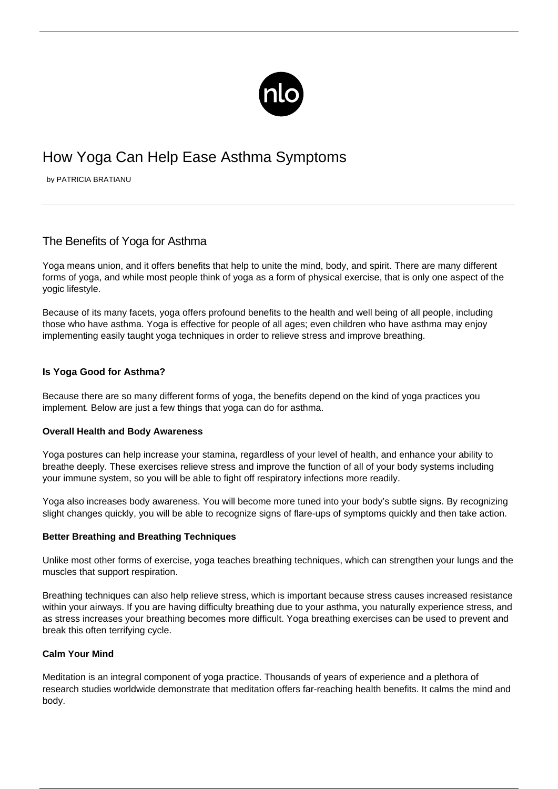

# How Yoga Can Help Ease Asthma Symptoms

by PATRICIA BRATIANU

# The Benefits of Yoga for Asthma

Yoga means union, and it offers benefits that help to unite the mind, body, and spirit. There are many different forms of yoga, and while most people think of yoga as a form of physical exercise, that is only one aspect of the yogic lifestyle.

Because of its many facets, yoga offers profound benefits to the health and well being of all people, including those who have asthma. Yoga is effective for people of all ages; even children who have asthma may enjoy implementing easily taught yoga techniques in order to relieve stress and improve breathing.

# **Is Yoga Good for Asthma?**

Because there are so many different forms of yoga, the benefits depend on the kind of yoga practices you implement. Below are just a few things that yoga can do for asthma.

#### **Overall Health and Body Awareness**

Yoga postures can help increase your stamina, regardless of your level of health, and enhance your ability to breathe deeply. These exercises relieve stress and improve the function of all of your body systems including your immune system, so you will be able to fight off respiratory infections more readily.

Yoga also increases body awareness. You will become more tuned into your body's subtle signs. By recognizing slight changes quickly, you will be able to recognize signs of flare-ups of symptoms quickly and then take action.

#### **Better Breathing and Breathing Techniques**

Unlike most other forms of exercise, yoga teaches [breathing techniques,](/breathing-exercises/) which can strengthen your lungs and the muscles that support respiration.

Breathing techniques can also help relieve stress, which is important because stress causes increased resistance within your airways. If you are having difficulty breathing due to your asthma, you naturally experience stress, and as stress increases your breathing becomes more difficult. Yoga breathing exercises can be used to prevent and break this often terrifying cycle.

#### **Calm Your Mind**

Meditation is an integral component of yoga practice. Thousands of years of experience and a plethora of research studies worldwide demonstrate that meditation offers far-reaching health benefits. It calms the mind and body.